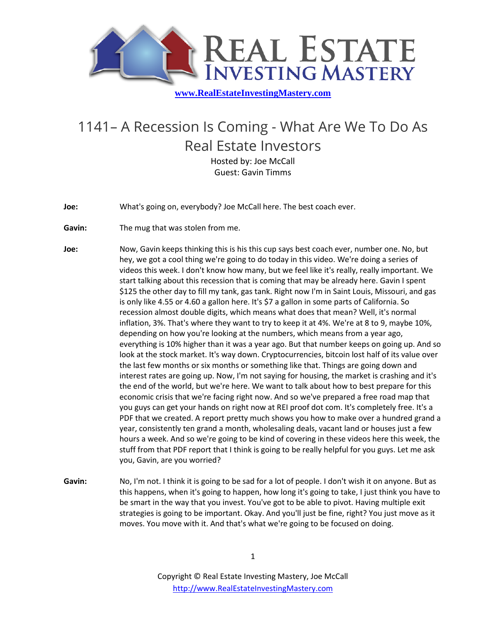

## 1141– A Recession Is Coming - What Are We To Do As Real Estate Investors Hosted by: Joe McCall

Guest: Gavin Timms

**Joe:** What's going on, everybody? Joe McCall here. The best coach ever.

**Gavin:** The mug that was stolen from me.

**Joe:** Now, Gavin keeps thinking this is his this cup says best coach ever, number one. No, but hey, we got a cool thing we're going to do today in this video. We're doing a series of videos this week. I don't know how many, but we feel like it's really, really important. We start talking about this recession that is coming that may be already here. Gavin I spent \$125 the other day to fill my tank, gas tank. Right now I'm in Saint Louis, Missouri, and gas is only like 4.55 or 4.60 a gallon here. It's \$7 a gallon in some parts of California. So recession almost double digits, which means what does that mean? Well, it's normal inflation, 3%. That's where they want to try to keep it at 4%. We're at 8 to 9, maybe 10%, depending on how you're looking at the numbers, which means from a year ago, everything is 10% higher than it was a year ago. But that number keeps on going up. And so look at the stock market. It's way down. Cryptocurrencies, bitcoin lost half of its value over the last few months or six months or something like that. Things are going down and interest rates are going up. Now, I'm not saying for housing, the market is crashing and it's the end of the world, but we're here. We want to talk about how to best prepare for this economic crisis that we're facing right now. And so we've prepared a free road map that you guys can get your hands on right now at REI proof dot com. It's completely free. It's a PDF that we created. A report pretty much shows you how to make over a hundred grand a year, consistently ten grand a month, wholesaling deals, vacant land or houses just a few hours a week. And so we're going to be kind of covering in these videos here this week, the stuff from that PDF report that I think is going to be really helpful for you guys. Let me ask you, Gavin, are you worried?

**Gavin:** No, I'm not. I think it is going to be sad for a lot of people. I don't wish it on anyone. But as this happens, when it's going to happen, how long it's going to take, I just think you have to be smart in the way that you invest. You've got to be able to pivot. Having multiple exit strategies is going to be important. Okay. And you'll just be fine, right? You just move as it moves. You move with it. And that's what we're going to be focused on doing.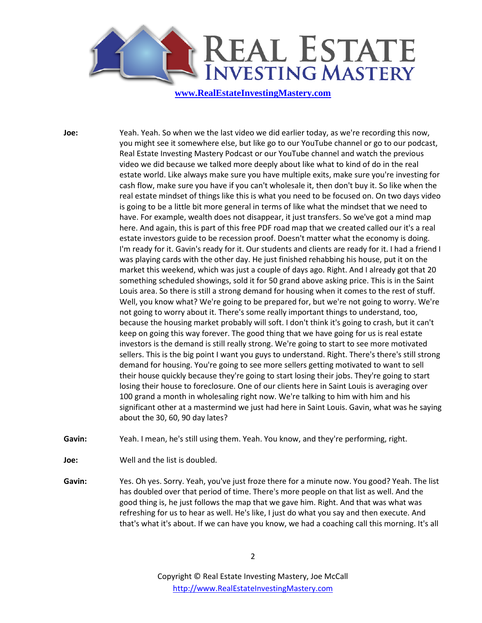

**Joe:** Yeah. Yeah. So when we the last video we did earlier today, as we're recording this now, you might see it somewhere else, but like go to our YouTube channel or go to our podcast, Real Estate Investing Mastery Podcast or our YouTube channel and watch the previous video we did because we talked more deeply about like what to kind of do in the real estate world. Like always make sure you have multiple exits, make sure you're investing for cash flow, make sure you have if you can't wholesale it, then don't buy it. So like when the real estate mindset of things like this is what you need to be focused on. On two days video is going to be a little bit more general in terms of like what the mindset that we need to have. For example, wealth does not disappear, it just transfers. So we've got a mind map here. And again, this is part of this free PDF road map that we created called our it's a real estate investors guide to be recession proof. Doesn't matter what the economy is doing. I'm ready for it. Gavin's ready for it. Our students and clients are ready for it. I had a friend I was playing cards with the other day. He just finished rehabbing his house, put it on the market this weekend, which was just a couple of days ago. Right. And I already got that 20 something scheduled showings, sold it for 50 grand above asking price. This is in the Saint Louis area. So there is still a strong demand for housing when it comes to the rest of stuff. Well, you know what? We're going to be prepared for, but we're not going to worry. We're not going to worry about it. There's some really important things to understand, too, because the housing market probably will soft. I don't think it's going to crash, but it can't keep on going this way forever. The good thing that we have going for us is real estate investors is the demand is still really strong. We're going to start to see more motivated sellers. This is the big point I want you guys to understand. Right. There's there's still strong demand for housing. You're going to see more sellers getting motivated to want to sell their house quickly because they're going to start losing their jobs. They're going to start losing their house to foreclosure. One of our clients here in Saint Louis is averaging over 100 grand a month in wholesaling right now. We're talking to him with him and his significant other at a mastermind we just had here in Saint Louis. Gavin, what was he saying about the 30, 60, 90 day lates?

**Gavin:** Yeah. I mean, he's still using them. Yeah. You know, and they're performing, right.

**Joe:** Well and the list is doubled.

**Gavin:** Yes. Oh yes. Sorry. Yeah, you've just froze there for a minute now. You good? Yeah. The list has doubled over that period of time. There's more people on that list as well. And the good thing is, he just follows the map that we gave him. Right. And that was what was refreshing for us to hear as well. He's like, I just do what you say and then execute. And that's what it's about. If we can have you know, we had a coaching call this morning. It's all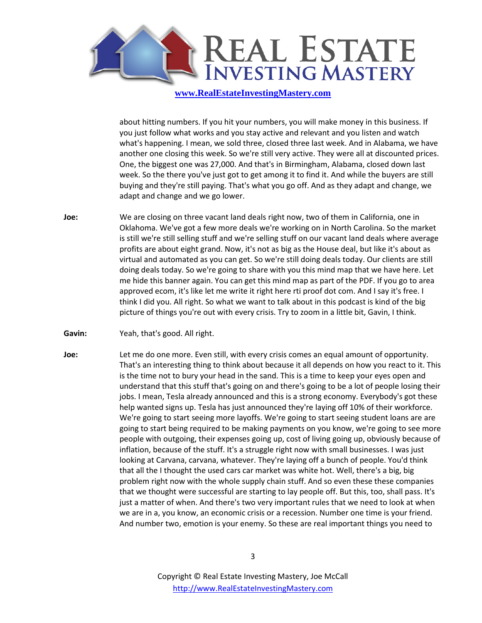

about hitting numbers. If you hit your numbers, you will make money in this business. If you just follow what works and you stay active and relevant and you listen and watch what's happening. I mean, we sold three, closed three last week. And in Alabama, we have another one closing this week. So we're still very active. They were all at discounted prices. One, the biggest one was 27,000. And that's in Birmingham, Alabama, closed down last week. So the there you've just got to get among it to find it. And while the buyers are still buying and they're still paying. That's what you go off. And as they adapt and change, we adapt and change and we go lower.

- **Joe:** We are closing on three vacant land deals right now, two of them in California, one in Oklahoma. We've got a few more deals we're working on in North Carolina. So the market is still we're still selling stuff and we're selling stuff on our vacant land deals where average profits are about eight grand. Now, it's not as big as the House deal, but like it's about as virtual and automated as you can get. So we're still doing deals today. Our clients are still doing deals today. So we're going to share with you this mind map that we have here. Let me hide this banner again. You can get this mind map as part of the PDF. If you go to area approved ecom, it's like let me write it right here rti proof dot com. And I say it's free. I think I did you. All right. So what we want to talk about in this podcast is kind of the big picture of things you're out with every crisis. Try to zoom in a little bit, Gavin, I think.
- **Gavin:** Yeah, that's good. All right.
- **Joe:** Let me do one more. Even still, with every crisis comes an equal amount of opportunity. That's an interesting thing to think about because it all depends on how you react to it. This is the time not to bury your head in the sand. This is a time to keep your eyes open and understand that this stuff that's going on and there's going to be a lot of people losing their jobs. I mean, Tesla already announced and this is a strong economy. Everybody's got these help wanted signs up. Tesla has just announced they're laying off 10% of their workforce. We're going to start seeing more layoffs. We're going to start seeing student loans are are going to start being required to be making payments on you know, we're going to see more people with outgoing, their expenses going up, cost of living going up, obviously because of inflation, because of the stuff. It's a struggle right now with small businesses. I was just looking at Carvana, carvana, whatever. They're laying off a bunch of people. You'd think that all the I thought the used cars car market was white hot. Well, there's a big, big problem right now with the whole supply chain stuff. And so even these these companies that we thought were successful are starting to lay people off. But this, too, shall pass. It's just a matter of when. And there's two very important rules that we need to look at when we are in a, you know, an economic crisis or a recession. Number one time is your friend. And number two, emotion is your enemy. So these are real important things you need to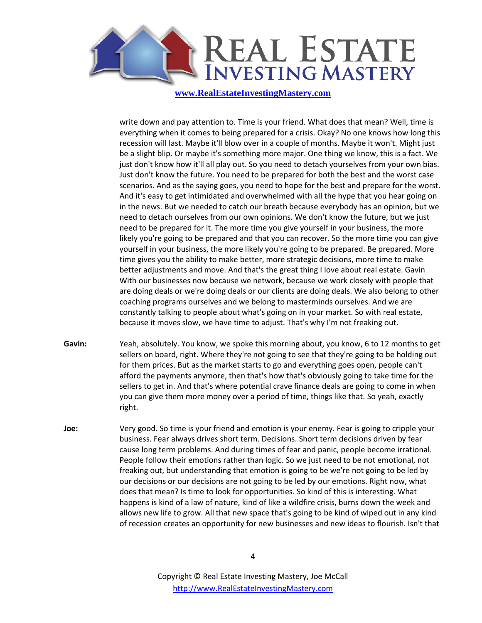

write down and pay attention to. Time is your friend. What does that mean? Well, time is everything when it comes to being prepared for a crisis. Okay? No one knows how long this recession will last. Maybe it'll blow over in a couple of months. Maybe it won't. Might just be a slight blip. Or maybe it's something more major. One thing we know, this is a fact. We just don't know how it'll all play out. So you need to detach yourselves from your own bias. Just don't know the future. You need to be prepared for both the best and the worst case scenarios. And as the saying goes, you need to hope for the best and prepare for the worst. And it's easy to get intimidated and overwhelmed with all the hype that you hear going on in the news. But we needed to catch our breath because everybody has an opinion, but we need to detach ourselves from our own opinions. We don't know the future, but we just need to be prepared for it. The more time you give yourself in your business, the more likely you're going to be prepared and that you can recover. So the more time you can give yourself in your business, the more likely you're going to be prepared. Be prepared. More time gives you the ability to make better, more strategic decisions, more time to make better adjustments and move. And that's the great thing I love about real estate. Gavin With our businesses now because we network, because we work closely with people that are doing deals or we're doing deals or our clients are doing deals. We also belong to other coaching programs ourselves and we belong to masterminds ourselves. And we are constantly talking to people about what's going on in your market. So with real estate, because it moves slow, we have time to adjust. That's why I'm not freaking out.

- **Gavin:** Yeah, absolutely. You know, we spoke this morning about, you know, 6 to 12 months to get sellers on board, right. Where they're not going to see that they're going to be holding out for them prices. But as the market starts to go and everything goes open, people can't afford the payments anymore, then that's how that's obviously going to take time for the sellers to get in. And that's where potential crave finance deals are going to come in when you can give them more money over a period of time, things like that. So yeah, exactly right.
- **Joe:** Very good. So time is your friend and emotion is your enemy. Fear is going to cripple your business. Fear always drives short term. Decisions. Short term decisions driven by fear cause long term problems. And during times of fear and panic, people become irrational. People follow their emotions rather than logic. So we just need to be not emotional, not freaking out, but understanding that emotion is going to be we're not going to be led by our decisions or our decisions are not going to be led by our emotions. Right now, what does that mean? Is time to look for opportunities. So kind of this is interesting. What happens is kind of a law of nature, kind of like a wildfire crisis, burns down the week and allows new life to grow. All that new space that's going to be kind of wiped out in any kind of recession creates an opportunity for new businesses and new ideas to flourish. Isn't that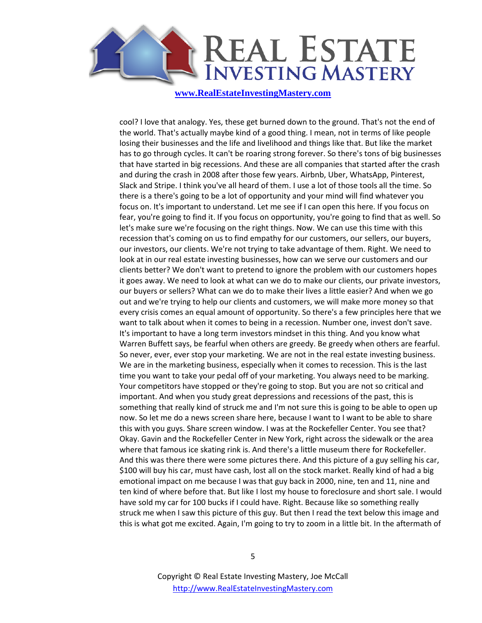

cool? I love that analogy. Yes, these get burned down to the ground. That's not the end of the world. That's actually maybe kind of a good thing. I mean, not in terms of like people losing their businesses and the life and livelihood and things like that. But like the market has to go through cycles. It can't be roaring strong forever. So there's tons of big businesses that have started in big recessions. And these are all companies that started after the crash and during the crash in 2008 after those few years. Airbnb, Uber, WhatsApp, Pinterest, Slack and Stripe. I think you've all heard of them. I use a lot of those tools all the time. So there is a there's going to be a lot of opportunity and your mind will find whatever you focus on. It's important to understand. Let me see if I can open this here. If you focus on fear, you're going to find it. If you focus on opportunity, you're going to find that as well. So let's make sure we're focusing on the right things. Now. We can use this time with this recession that's coming on us to find empathy for our customers, our sellers, our buyers, our investors, our clients. We're not trying to take advantage of them. Right. We need to look at in our real estate investing businesses, how can we serve our customers and our clients better? We don't want to pretend to ignore the problem with our customers hopes it goes away. We need to look at what can we do to make our clients, our private investors, our buyers or sellers? What can we do to make their lives a little easier? And when we go out and we're trying to help our clients and customers, we will make more money so that every crisis comes an equal amount of opportunity. So there's a few principles here that we want to talk about when it comes to being in a recession. Number one, invest don't save. It's important to have a long term investors mindset in this thing. And you know what Warren Buffett says, be fearful when others are greedy. Be greedy when others are fearful. So never, ever, ever stop your marketing. We are not in the real estate investing business. We are in the marketing business, especially when it comes to recession. This is the last time you want to take your pedal off of your marketing. You always need to be marking. Your competitors have stopped or they're going to stop. But you are not so critical and important. And when you study great depressions and recessions of the past, this is something that really kind of struck me and I'm not sure this is going to be able to open up now. So let me do a news screen share here, because I want to I want to be able to share this with you guys. Share screen window. I was at the Rockefeller Center. You see that? Okay. Gavin and the Rockefeller Center in New York, right across the sidewalk or the area where that famous ice skating rink is. And there's a little museum there for Rockefeller. And this was there there were some pictures there. And this picture of a guy selling his car, \$100 will buy his car, must have cash, lost all on the stock market. Really kind of had a big emotional impact on me because I was that guy back in 2000, nine, ten and 11, nine and ten kind of where before that. But like I lost my house to foreclosure and short sale. I would have sold my car for 100 bucks if I could have. Right. Because like so something really struck me when I saw this picture of this guy. But then I read the text below this image and this is what got me excited. Again, I'm going to try to zoom in a little bit. In the aftermath of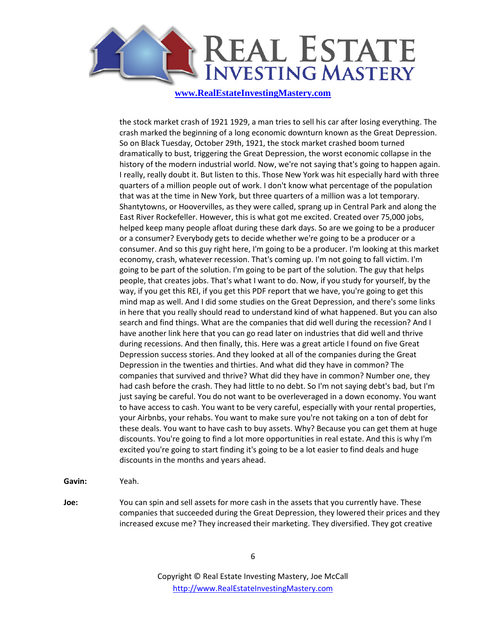

the stock market crash of 1921 1929, a man tries to sell his car after losing everything. The crash marked the beginning of a long economic downturn known as the Great Depression. So on Black Tuesday, October 29th, 1921, the stock market crashed boom turned dramatically to bust, triggering the Great Depression, the worst economic collapse in the history of the modern industrial world. Now, we're not saying that's going to happen again. I really, really doubt it. But listen to this. Those New York was hit especially hard with three quarters of a million people out of work. I don't know what percentage of the population that was at the time in New York, but three quarters of a million was a lot temporary. Shantytowns, or Hoovervilles, as they were called, sprang up in Central Park and along the East River Rockefeller. However, this is what got me excited. Created over 75,000 jobs, helped keep many people afloat during these dark days. So are we going to be a producer or a consumer? Everybody gets to decide whether we're going to be a producer or a consumer. And so this guy right here, I'm going to be a producer. I'm looking at this market economy, crash, whatever recession. That's coming up. I'm not going to fall victim. I'm going to be part of the solution. I'm going to be part of the solution. The guy that helps people, that creates jobs. That's what I want to do. Now, if you study for yourself, by the way, if you get this REI, if you get this PDF report that we have, you're going to get this mind map as well. And I did some studies on the Great Depression, and there's some links in here that you really should read to understand kind of what happened. But you can also search and find things. What are the companies that did well during the recession? And I have another link here that you can go read later on industries that did well and thrive during recessions. And then finally, this. Here was a great article I found on five Great Depression success stories. And they looked at all of the companies during the Great Depression in the twenties and thirties. And what did they have in common? The companies that survived and thrive? What did they have in common? Number one, they had cash before the crash. They had little to no debt. So I'm not saying debt's bad, but I'm just saying be careful. You do not want to be overleveraged in a down economy. You want to have access to cash. You want to be very careful, especially with your rental properties, your Airbnbs, your rehabs. You want to make sure you're not taking on a ton of debt for these deals. You want to have cash to buy assets. Why? Because you can get them at huge discounts. You're going to find a lot more opportunities in real estate. And this is why I'm excited you're going to start finding it's going to be a lot easier to find deals and huge discounts in the months and years ahead.

**Gavin:** Yeah.

**Joe:** You can spin and sell assets for more cash in the assets that you currently have. These companies that succeeded during the Great Depression, they lowered their prices and they increased excuse me? They increased their marketing. They diversified. They got creative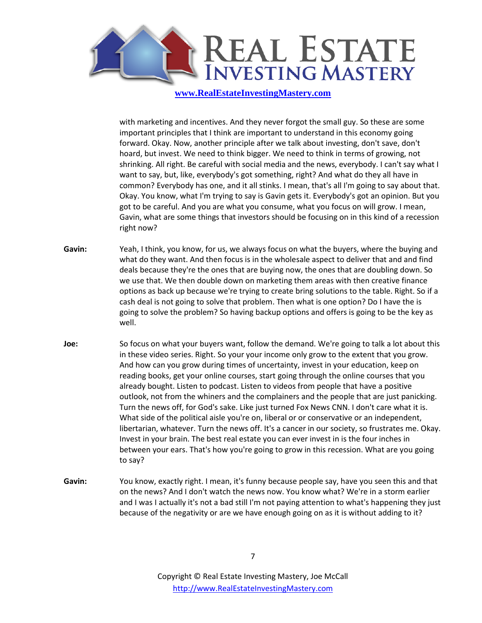

with marketing and incentives. And they never forgot the small guy. So these are some important principles that I think are important to understand in this economy going forward. Okay. Now, another principle after we talk about investing, don't save, don't hoard, but invest. We need to think bigger. We need to think in terms of growing, not shrinking. All right. Be careful with social media and the news, everybody. I can't say what I want to say, but, like, everybody's got something, right? And what do they all have in common? Everybody has one, and it all stinks. I mean, that's all I'm going to say about that. Okay. You know, what I'm trying to say is Gavin gets it. Everybody's got an opinion. But you got to be careful. And you are what you consume, what you focus on will grow. I mean, Gavin, what are some things that investors should be focusing on in this kind of a recession right now?

- **Gavin:** Yeah, I think, you know, for us, we always focus on what the buyers, where the buying and what do they want. And then focus is in the wholesale aspect to deliver that and and find deals because they're the ones that are buying now, the ones that are doubling down. So we use that. We then double down on marketing them areas with then creative finance options as back up because we're trying to create bring solutions to the table. Right. So if a cash deal is not going to solve that problem. Then what is one option? Do I have the is going to solve the problem? So having backup options and offers is going to be the key as well.
- **Joe:** So focus on what your buyers want, follow the demand. We're going to talk a lot about this in these video series. Right. So your your income only grow to the extent that you grow. And how can you grow during times of uncertainty, invest in your education, keep on reading books, get your online courses, start going through the online courses that you already bought. Listen to podcast. Listen to videos from people that have a positive outlook, not from the whiners and the complainers and the people that are just panicking. Turn the news off, for God's sake. Like just turned Fox News CNN. I don't care what it is. What side of the political aisle you're on, liberal or or conservative or an independent, libertarian, whatever. Turn the news off. It's a cancer in our society, so frustrates me. Okay. Invest in your brain. The best real estate you can ever invest in is the four inches in between your ears. That's how you're going to grow in this recession. What are you going to say?
- **Gavin:** You know, exactly right. I mean, it's funny because people say, have you seen this and that on the news? And I don't watch the news now. You know what? We're in a storm earlier and I was I actually it's not a bad still I'm not paying attention to what's happening they just because of the negativity or are we have enough going on as it is without adding to it?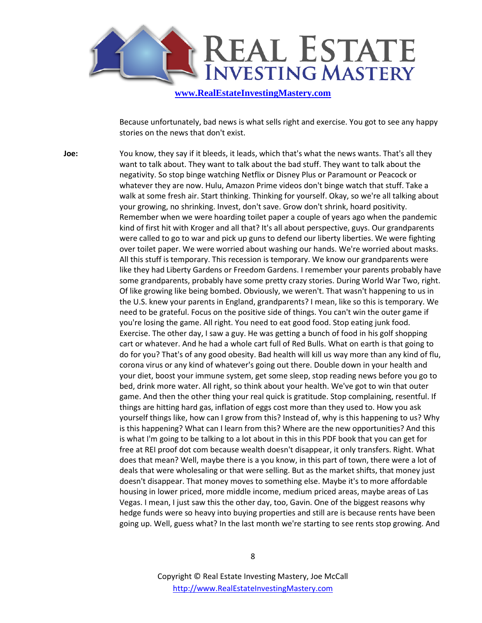

Because unfortunately, bad news is what sells right and exercise. You got to see any happy stories on the news that don't exist.

**Joe:** You know, they say if it bleeds, it leads, which that's what the news wants. That's all they want to talk about. They want to talk about the bad stuff. They want to talk about the negativity. So stop binge watching Netflix or Disney Plus or Paramount or Peacock or whatever they are now. Hulu, Amazon Prime videos don't binge watch that stuff. Take a walk at some fresh air. Start thinking. Thinking for yourself. Okay, so we're all talking about your growing, no shrinking. Invest, don't save. Grow don't shrink, hoard positivity. Remember when we were hoarding toilet paper a couple of years ago when the pandemic kind of first hit with Kroger and all that? It's all about perspective, guys. Our grandparents were called to go to war and pick up guns to defend our liberty liberties. We were fighting over toilet paper. We were worried about washing our hands. We're worried about masks. All this stuff is temporary. This recession is temporary. We know our grandparents were like they had Liberty Gardens or Freedom Gardens. I remember your parents probably have some grandparents, probably have some pretty crazy stories. During World War Two, right. Of like growing like being bombed. Obviously, we weren't. That wasn't happening to us in the U.S. knew your parents in England, grandparents? I mean, like so this is temporary. We need to be grateful. Focus on the positive side of things. You can't win the outer game if you're losing the game. All right. You need to eat good food. Stop eating junk food. Exercise. The other day, I saw a guy. He was getting a bunch of food in his golf shopping cart or whatever. And he had a whole cart full of Red Bulls. What on earth is that going to do for you? That's of any good obesity. Bad health will kill us way more than any kind of flu, corona virus or any kind of whatever's going out there. Double down in your health and your diet, boost your immune system, get some sleep, stop reading news before you go to bed, drink more water. All right, so think about your health. We've got to win that outer game. And then the other thing your real quick is gratitude. Stop complaining, resentful. If things are hitting hard gas, inflation of eggs cost more than they used to. How you ask yourself things like, how can I grow from this? Instead of, why is this happening to us? Why is this happening? What can I learn from this? Where are the new opportunities? And this is what I'm going to be talking to a lot about in this in this PDF book that you can get for free at REI proof dot com because wealth doesn't disappear, it only transfers. Right. What does that mean? Well, maybe there is a you know, in this part of town, there were a lot of deals that were wholesaling or that were selling. But as the market shifts, that money just doesn't disappear. That money moves to something else. Maybe it's to more affordable housing in lower priced, more middle income, medium priced areas, maybe areas of Las Vegas. I mean, I just saw this the other day, too, Gavin. One of the biggest reasons why hedge funds were so heavy into buying properties and still are is because rents have been going up. Well, guess what? In the last month we're starting to see rents stop growing. And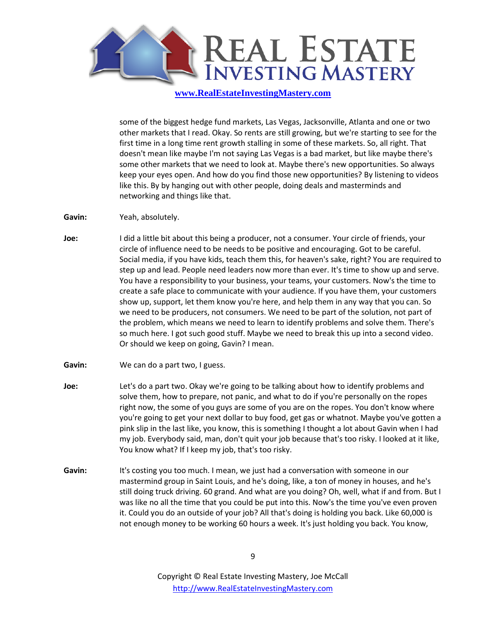

some of the biggest hedge fund markets, Las Vegas, Jacksonville, Atlanta and one or two other markets that I read. Okay. So rents are still growing, but we're starting to see for the first time in a long time rent growth stalling in some of these markets. So, all right. That doesn't mean like maybe I'm not saying Las Vegas is a bad market, but like maybe there's some other markets that we need to look at. Maybe there's new opportunities. So always keep your eyes open. And how do you find those new opportunities? By listening to videos like this. By by hanging out with other people, doing deals and masterminds and networking and things like that.

- **Gavin:** Yeah, absolutely.
- **Joe:** I did a little bit about this being a producer, not a consumer. Your circle of friends, your circle of influence need to be needs to be positive and encouraging. Got to be careful. Social media, if you have kids, teach them this, for heaven's sake, right? You are required to step up and lead. People need leaders now more than ever. It's time to show up and serve. You have a responsibility to your business, your teams, your customers. Now's the time to create a safe place to communicate with your audience. If you have them, your customers show up, support, let them know you're here, and help them in any way that you can. So we need to be producers, not consumers. We need to be part of the solution, not part of the problem, which means we need to learn to identify problems and solve them. There's so much here. I got such good stuff. Maybe we need to break this up into a second video. Or should we keep on going, Gavin? I mean.
- Gavin: We can do a part two, I guess.
- **Joe:** Let's do a part two. Okay we're going to be talking about how to identify problems and solve them, how to prepare, not panic, and what to do if you're personally on the ropes right now, the some of you guys are some of you are on the ropes. You don't know where you're going to get your next dollar to buy food, get gas or whatnot. Maybe you've gotten a pink slip in the last like, you know, this is something I thought a lot about Gavin when I had my job. Everybody said, man, don't quit your job because that's too risky. I looked at it like, You know what? If I keep my job, that's too risky.
- **Gavin:** It's costing you too much. I mean, we just had a conversation with someone in our mastermind group in Saint Louis, and he's doing, like, a ton of money in houses, and he's still doing truck driving. 60 grand. And what are you doing? Oh, well, what if and from. But I was like no all the time that you could be put into this. Now's the time you've even proven it. Could you do an outside of your job? All that's doing is holding you back. Like 60,000 is not enough money to be working 60 hours a week. It's just holding you back. You know,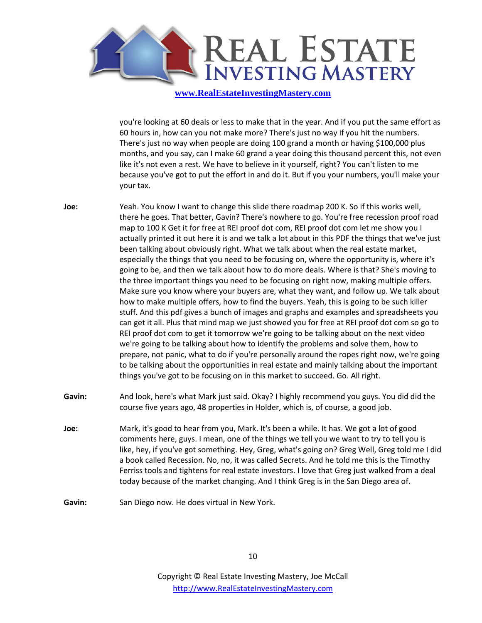

you're looking at 60 deals or less to make that in the year. And if you put the same effort as 60 hours in, how can you not make more? There's just no way if you hit the numbers. There's just no way when people are doing 100 grand a month or having \$100,000 plus months, and you say, can I make 60 grand a year doing this thousand percent this, not even like it's not even a rest. We have to believe in it yourself, right? You can't listen to me because you've got to put the effort in and do it. But if you your numbers, you'll make your your tax.

- **Joe:** Yeah. You know I want to change this slide there roadmap 200 K. So if this works well, there he goes. That better, Gavin? There's nowhere to go. You're free recession proof road map to 100 K Get it for free at REI proof dot com, REI proof dot com let me show you I actually printed it out here it is and we talk a lot about in this PDF the things that we've just been talking about obviously right. What we talk about when the real estate market, especially the things that you need to be focusing on, where the opportunity is, where it's going to be, and then we talk about how to do more deals. Where is that? She's moving to the three important things you need to be focusing on right now, making multiple offers. Make sure you know where your buyers are, what they want, and follow up. We talk about how to make multiple offers, how to find the buyers. Yeah, this is going to be such killer stuff. And this pdf gives a bunch of images and graphs and examples and spreadsheets you can get it all. Plus that mind map we just showed you for free at REI proof dot com so go to REI proof dot com to get it tomorrow we're going to be talking about on the next video we're going to be talking about how to identify the problems and solve them, how to prepare, not panic, what to do if you're personally around the ropes right now, we're going to be talking about the opportunities in real estate and mainly talking about the important things you've got to be focusing on in this market to succeed. Go. All right.
- **Gavin:** And look, here's what Mark just said. Okay? I highly recommend you guys. You did did the course five years ago, 48 properties in Holder, which is, of course, a good job.
- **Joe:** Mark, it's good to hear from you, Mark. It's been a while. It has. We got a lot of good comments here, guys. I mean, one of the things we tell you we want to try to tell you is like, hey, if you've got something. Hey, Greg, what's going on? Greg Well, Greg told me I did a book called Recession. No, no, it was called Secrets. And he told me this is the Timothy Ferriss tools and tightens for real estate investors. I love that Greg just walked from a deal today because of the market changing. And I think Greg is in the San Diego area of.
- **Gavin:** San Diego now. He does virtual in New York.